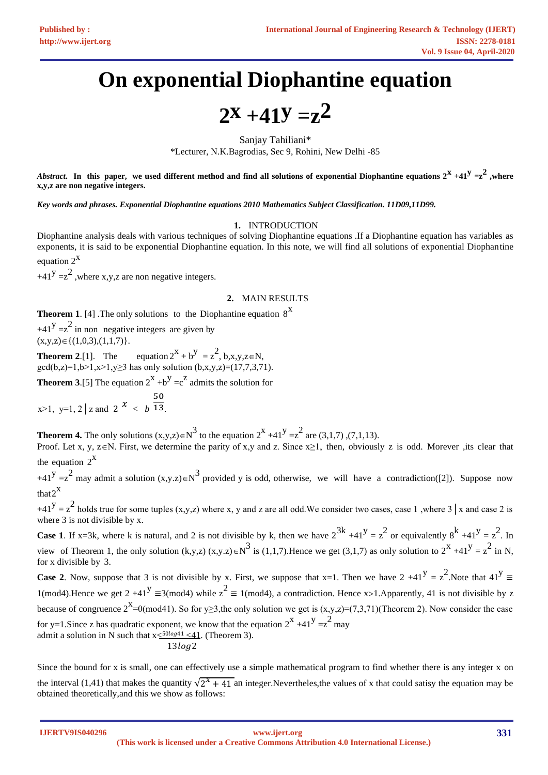# **On exponential Diophantine equation**

 $2x + 41y = z^2$ 

Sanjay Tahiliani\* \*Lecturer, N.K.Bagrodias, Sec 9, Rohini, New Delhi -85

*Abstract***.** In this paper, we used different method and find all solutions of exponential Diophantine equations  $2^X + 41^Y = z^2$  ,where **x,y,z are non negative integers.** 

*Key words and phrases. Exponential Diophantine equations 2010 Mathematics Subject Classification. 11D09,11D99.* 

### **1.** INTRODUCTION

Diophantine analysis deals with various techniques of solving Diophantine equations .If a Diophantine equation has variables as exponents, it is said to be exponential Diophantine equation. In this note, we will find all solutions of exponential Diophantine equation  $2^X$ 

+41<sup>Y</sup> =  $z^2$ , where x,y,z are non negative integers.

#### **2.** MAIN RESULTS

**Theorem 1.** [4] .The only solutions to the Diophantine equation  $8^X$ 

 $+41^y = z^2$  in non negative integers are given by  $(x,y,z) \in \{(1,0,3),(1,1,7)\}.$ 

**Theorem 2.**[1]. The equation  $2^X + b^Y = z^2$ , b,x,y,z \memot  $gcd(b,z)=1, b>1, x>1, y>3$  has only solution  $(b, x, y, z)=(17, 7, 3, 71)$ .

**Theorem 3.**[5] The equation  $2^{X} + b^{Y} = c^{Z}$  admits the solution for

 $x>1$ ,  $y=1$ ,  $2 \mid z$  and  $2 \mid x$  < b 50 13.

**Theorem 4.** The only solutions  $(x,y,z) \in N^3$  to the equation  $2^x +41^y = z^2$  are  $(3,1,7)$ ,  $(7,1,13)$ .

Proof. Let x, y, z $\in$ N. First, we determine the parity of x,y and z. Since x≥1, then, obviously z is odd. Morever ,its clear that the equation  $2^X$ 

+41<sup>y</sup> =  $z^2$  may admit a solution  $(x,y,z) \in N^3$  provided y is odd, otherwise, we will have a contradiction([2]). Suppose now that  $2^X$ 

 $+41^{\text{y}} = z^{\text{2}}$  holds true for some tuples (x,y,z) where x, y and z are all odd. We consider two cases, case 1, where 3 | x and case 2 is where 3 is not divisible by x.

**Case 1.** If x=3k, where k is natural, and 2 is not divisible by k, then we have  $2^{3k} +41^y = z^2$  or equivalently  $8^k +41^y = z^2$ . In view of Theorem 1, the only solution  $(k,y,z)$   $(x,y,z) \in N^3$  is (1,1,7). Hence we get (3,1,7) as only solution to  $2^x +41^y = z^2$  in N, for x divisible by 3.

**Case 2.** Now, suppose that 3 is not divisible by x. First, we suppose that x=1. Then we have  $2 +41^y = z^2$ . Note that  $41^y \equiv$ 1(mod4).Hence we get 2 +41<sup>Y</sup> ≡3(mod4) while  $z^2 \equiv 1 \pmod{4}$ , a contradiction. Hence x>1.Apparently, 41 is not divisible by z because of congruence  $2^x$ =0(mod41). So for y≥3,the only solution we get is  $(x,y,z)=(7,3,71)$ (Theorem 2). Now consider the case for y=1.Since z has quadratic exponent, we know that the equation  $2^{x} + 41^{y} = z^{2}$  may admit a solution in N such that  $x \leq 50 \log 41 \leq 41$ . (Theorem 3).  $13log2$ 

Since the bound for x is small, one can effectively use a simple mathematical program to find whether there is any integer x on the interval (1,41) that makes the quantity  $\sqrt{2^x + 41}$  an integer. Nevertheles, the values of x that could satisy the equation may be obtained theoretically,and this we show as follows:

**IJERTV9IS040296**